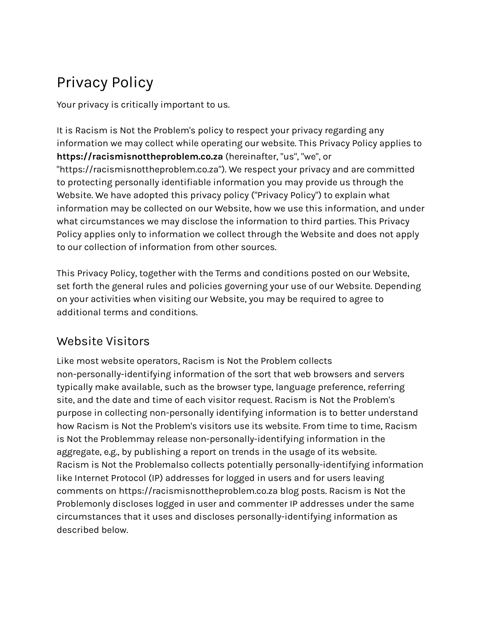# Privacy Policy

Your privacy is critically important to us.

It is Racism is Not the Problem's policy to respect your privacy regarding any information we may collect while operating our website. This Privacy Policy applies to **https://racismisnottheproblem.co.za** (hereinafter, "us", "we", or "https://racismisnottheproblem.co.za"). We respect your privacy and are committed to protecting personally identifiable information you may provide us through the Website. We have adopted this privacy policy ("Privacy Policy") to explain what information may be collected on our Website, how we use this information, and under what circumstances we may disclose the information to third parties. This Privacy Policy applies only to information we collect through the Website and does not apply to our collection of information from other sources.

This Privacy Policy, together with the Terms and conditions posted on our Website, set forth the general rules and policies governing your use of our Website. Depending on your activities when visiting our Website, you may be required to agree to additional terms and conditions.

## Website Visitors

Like most website operators, Racism is Not the Problem collects non-personally-identifying information of the sort that web browsers and servers typically make available, such as the browser type, language preference, referring site, and the date and time of each visitor request. Racism is Not the Problem's purpose in collecting non-personally identifying information is to better understand how Racism is Not the Problem's visitors use its website. From time to time, Racism is Not the Problemmay release non-personally-identifying information in the aggregate, e.g., by publishing a report on trends in the usage of its website. Racism is Not the Problemalso collects potentially personally-identifying information like Internet Protocol (IP) addresses for logged in users and for users leaving comments on https://racismisnottheproblem.co.za blog posts. Racism is Not the Problemonly discloses logged in user and commenter IP addresses under the same circumstances that it uses and discloses personally-identifying information as described below.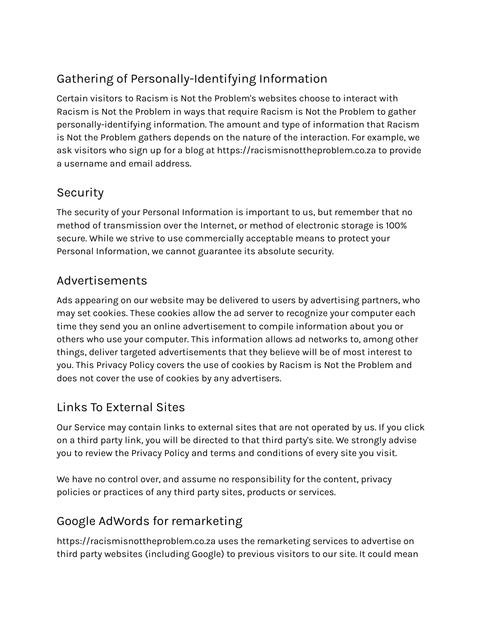# Gathering of Personally-Identifying Information

Certain visitors to Racism is Not the Problem's websites choose to interact with Racism is Not the Problem in ways that require Racism is Not the Problem to gather personally-identifying information. The amount and type of information that Racism is Not the Problem gathers depends on the nature of the interaction. For example, we ask visitors who sign up for a blog at https://racismisnottheproblem.co.za to provide a username and email address.

#### Security

The security of your Personal Information is important to us, but remember that no method of transmission over the Internet, or method of electronic storage is 100% secure. While we strive to use commercially acceptable means to protect your Personal Information, we cannot guarantee its absolute security.

#### Advertisements

Ads appearing on our website may be delivered to users by advertising partners, who may set cookies. These cookies allow the ad server to recognize your computer each time they send you an online advertisement to compile information about you or others who use your computer. This information allows ad networks to, among other things, deliver targeted advertisements that they believe will be of most interest to you. This Privacy Policy covers the use of cookies by Racism is Not the Problem and does not cover the use of cookies by any advertisers.

## Links To External Sites

Our Service may contain links to external sites that are not operated by us. If you click on a third party link, you will be directed to that third party's site. We strongly advise you to review the Privacy Policy and terms and conditions of every site you visit.

We have no control over, and assume no responsibility for the content, privacy policies or practices of any third party sites, products or services.

## Google AdWords for remarketing

https://racismisnottheproblem.co.za uses the remarketing services to advertise on third party websites (including Google) to previous visitors to our site. It could mean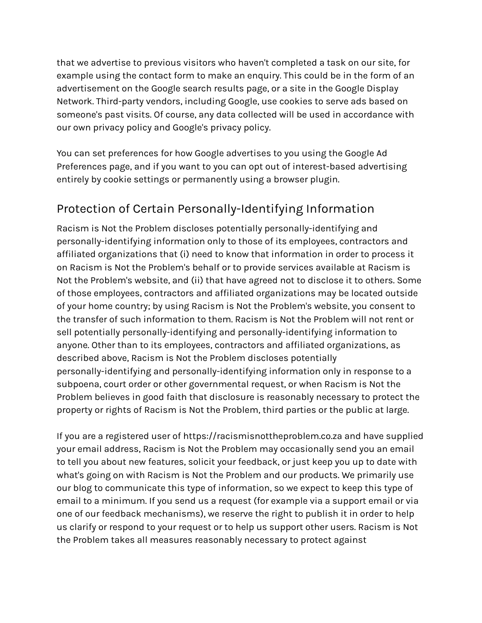that we advertise to previous visitors who haven't completed a task on our site, for example using the contact form to make an enquiry. This could be in the form of an advertisement on the Google search results page, or a site in the Google Display Network. Third-party vendors, including Google, use cookies to serve ads based on someone's past visits. Of course, any data collected will be used in accordance with our own privacy policy and Google's privacy policy.

You can set preferences for how Google advertises to you using the Google Ad Preferences page, and if you want to you can opt out of interest-based advertising entirely by cookie settings or permanently using a browser plugin.

#### Protection of Certain Personally-Identifying Information

Racism is Not the Problem discloses potentially personally-identifying and personally-identifying information only to those of its employees, contractors and affiliated organizations that (i) need to know that information in order to process it on Racism is Not the Problem's behalf or to provide services available at Racism is Not the Problem's website, and (ii) that have agreed not to disclose it to others. Some of those employees, contractors and affiliated organizations may be located outside of your home country; by using Racism is Not the Problem's website, you consent to the transfer of such information to them. Racism is Not the Problem will not rent or sell potentially personally-identifying and personally-identifying information to anyone. Other than to its employees, contractors and affiliated organizations, as described above, Racism is Not the Problem discloses potentially personally-identifying and personally-identifying information only in response to a subpoena, court order or other governmental request, or when Racism is Not the Problem believes in good faith that disclosure is reasonably necessary to protect the property or rights of Racism is Not the Problem, third parties or the public at large.

If you are a registered user of https://racismisnottheproblem.co.za and have supplied your email address, Racism is Not the Problem may occasionally send you an email to tell you about new features, solicit your feedback, or just keep you up to date with what's going on with Racism is Not the Problem and our products. We primarily use our blog to communicate this type of information, so we expect to keep this type of email to a minimum. If you send us a request (for example via a support email or via one of our feedback mechanisms), we reserve the right to publish it in order to help us clarify or respond to your request or to help us support other users. Racism is Not the Problem takes all measures reasonably necessary to protect against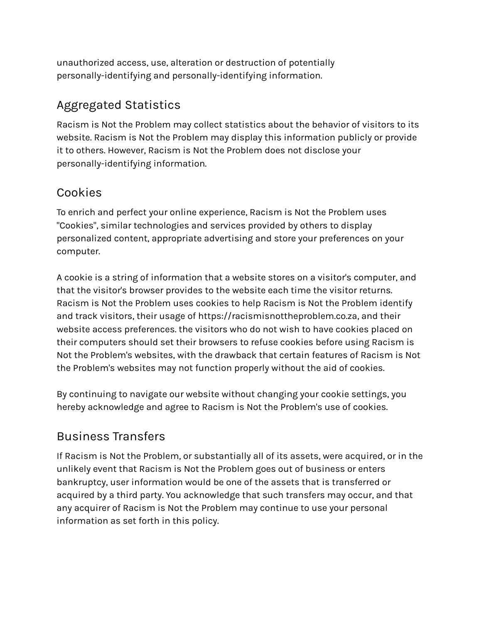unauthorized access, use, alteration or destruction of potentially personally-identifying and personally-identifying information.

# Aggregated Statistics

Racism is Not the Problem may collect statistics about the behavior of visitors to its website. Racism is Not the Problem may display this information publicly or provide it to others. However, Racism is Not the Problem does not disclose your personally-identifying information.

#### Cookies

To enrich and perfect your online experience, Racism is Not the Problem uses "Cookies", similar technologies and services provided by others to display personalized content, appropriate advertising and store your preferences on your computer.

A cookie is a string of information that a website stores on a visitor's computer, and that the visitor's browser provides to the website each time the visitor returns. Racism is Not the Problem uses cookies to help Racism is Not the Problem identify and track visitors, their usage of https://racismisnottheproblem.co.za, and their website access preferences. the visitors who do not wish to have cookies placed on their computers should set their browsers to refuse cookies before using Racism is Not the Problem's websites, with the drawback that certain features of Racism is Not the Problem's websites may not function properly without the aid of cookies.

By continuing to navigate our website without changing your cookie settings, you hereby acknowledge and agree to Racism is Not the Problem's use of cookies.

## Business Transfers

If Racism is Not the Problem, or substantially all of its assets, were acquired, or in the unlikely event that Racism is Not the Problem goes out of business or enters bankruptcy, user information would be one of the assets that is transferred or acquired by a third party. You acknowledge that such transfers may occur, and that any acquirer of Racism is Not the Problem may continue to use your personal information as set forth in this policy.